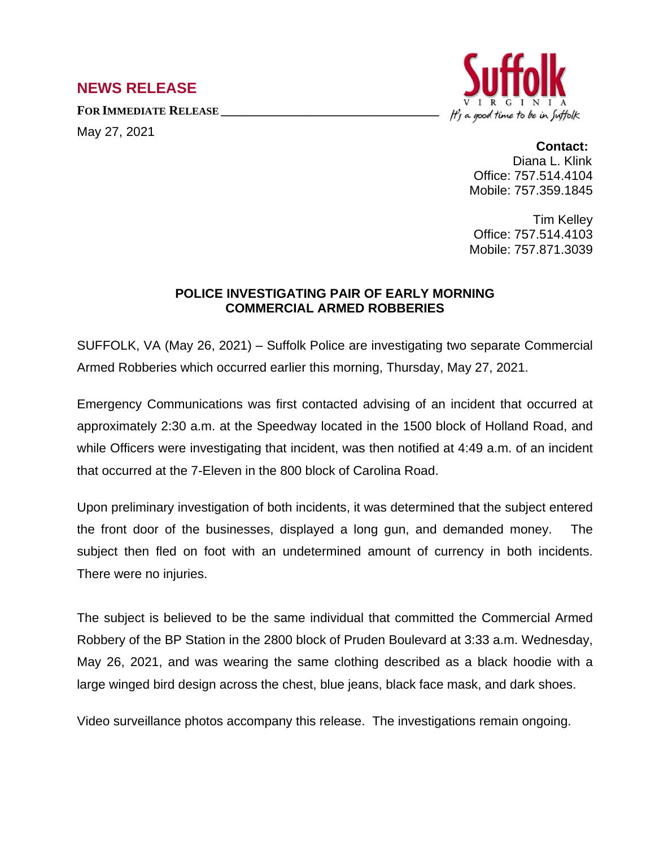## **NEWS RELEASE**

**FOR IMMEDIATE RELEASE \_\_\_\_\_\_\_\_\_\_\_\_\_\_\_\_\_\_\_\_\_\_\_\_\_\_\_\_\_\_\_\_\_\_**

May 27, 2021



## **Contact:**

Diana L. Klink Office: 757.514.4104 Mobile: 757.359.1845

Tim Kelley Office: 757.514.4103 Mobile: 757.871.3039

## **POLICE INVESTIGATING PAIR OF EARLY MORNING COMMERCIAL ARMED ROBBERIES**

SUFFOLK, VA (May 26, 2021) – Suffolk Police are investigating two separate Commercial Armed Robberies which occurred earlier this morning, Thursday, May 27, 2021.

Emergency Communications was first contacted advising of an incident that occurred at approximately 2:30 a.m. at the Speedway located in the 1500 block of Holland Road, and while Officers were investigating that incident, was then notified at 4:49 a.m. of an incident that occurred at the 7-Eleven in the 800 block of Carolina Road.

Upon preliminary investigation of both incidents, it was determined that the subject entered the front door of the businesses, displayed a long gun, and demanded money. The subject then fled on foot with an undetermined amount of currency in both incidents. There were no injuries.

The subject is believed to be the same individual that committed the Commercial Armed Robbery of the BP Station in the 2800 block of Pruden Boulevard at 3:33 a.m. Wednesday, May 26, 2021, and was wearing the same clothing described as a black hoodie with a large winged bird design across the chest, blue jeans, black face mask, and dark shoes.

Video surveillance photos accompany this release. The investigations remain ongoing.